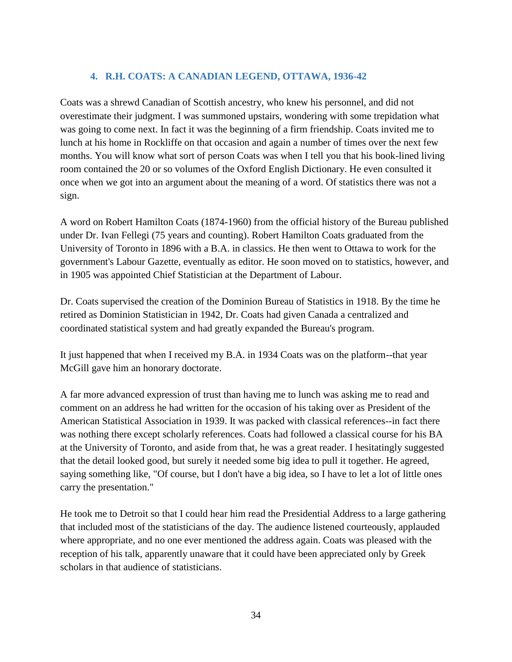# **4. R.H. COATS: A CANADIAN LEGEND, OTTAWA, 1936-42**

Coats was a shrewd Canadian of Scottish ancestry, who knew his personnel, and did not overestimate their judgment. I was summoned upstairs, wondering with some trepidation what was going to come next. In fact it was the beginning of a firm friendship. Coats invited me to lunch at his home in Rockliffe on that occasion and again a number of times over the next few months. You will know what sort of person Coats was when I tell you that his book-lined living room contained the 20 or so volumes of the Oxford English Dictionary. He even consulted it once when we got into an argument about the meaning of a word. Of statistics there was not a sign.

A word on Robert Hamilton Coats (1874-1960) from the official history of the Bureau published under Dr. Ivan Fellegi (75 years and counting). Robert Hamilton Coats graduated from the University of Toronto in 1896 with a B.A. in classics. He then went to Ottawa to work for the government's Labour Gazette, eventually as editor. He soon moved on to statistics, however, and in 1905 was appointed Chief Statistician at the Department of Labour.

Dr. Coats supervised the creation of the Dominion Bureau of Statistics in 1918. By the time he retired as Dominion Statistician in 1942, Dr. Coats had given Canada a centralized and coordinated statistical system and had greatly expanded the Bureau's program.

It just happened that when I received my B.A. in 1934 Coats was on the platform--that year McGill gave him an honorary doctorate.

A far more advanced expression of trust than having me to lunch was asking me to read and comment on an address he had written for the occasion of his taking over as President of the American Statistical Association in 1939. It was packed with classical references--in fact there was nothing there except scholarly references. Coats had followed a classical course for his BA at the University of Toronto, and aside from that, he was a great reader. I hesitatingly suggested that the detail looked good, but surely it needed some big idea to pull it together. He agreed, saying something like, "Of course, but I don't have a big idea, so I have to let a lot of little ones carry the presentation."

He took me to Detroit so that I could hear him read the Presidential Address to a large gathering that included most of the statisticians of the day. The audience listened courteously, applauded where appropriate, and no one ever mentioned the address again. Coats was pleased with the reception of his talk, apparently unaware that it could have been appreciated only by Greek scholars in that audience of statisticians.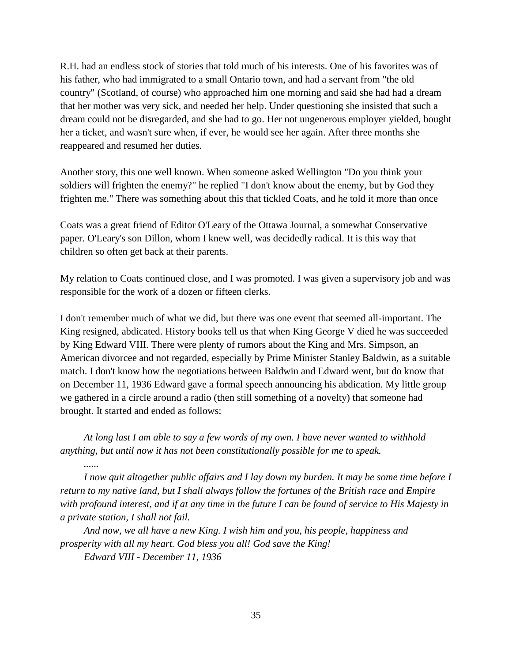R.H. had an endless stock of stories that told much of his interests. One of his favorites was of his father, who had immigrated to a small Ontario town, and had a servant from "the old country" (Scotland, of course) who approached him one morning and said she had had a dream that her mother was very sick, and needed her help. Under questioning she insisted that such a dream could not be disregarded, and she had to go. Her not ungenerous employer yielded, bought her a ticket, and wasn't sure when, if ever, he would see her again. After three months she reappeared and resumed her duties.

Another story, this one well known. When someone asked Wellington "Do you think your soldiers will frighten the enemy?" he replied "I don't know about the enemy, but by God they frighten me." There was something about this that tickled Coats, and he told it more than once

Coats was a great friend of Editor O'Leary of the Ottawa Journal, a somewhat Conservative paper. O'Leary's son Dillon, whom I knew well, was decidedly radical. It is this way that children so often get back at their parents.

My relation to Coats continued close, and I was promoted. I was given a supervisory job and was responsible for the work of a dozen or fifteen clerks.

I don't remember much of what we did, but there was one event that seemed all-important. The King resigned, abdicated. History books tell us that when King George V died he was succeeded by King Edward VIII. There were plenty of rumors about the King and Mrs. Simpson, an American divorcee and not regarded, especially by Prime Minister Stanley Baldwin, as a suitable match. I don't know how the negotiations between Baldwin and Edward went, but do know that on December 11, 1936 Edward gave a formal speech announcing his abdication. My little group we gathered in a circle around a radio (then still something of a novelty) that someone had brought. It started and ended as follows:

*At long last I am able to say a few words of my own. I have never wanted to withhold anything, but until now it has not been constitutionally possible for me to speak.* 

*I now quit altogether public affairs and I lay down my burden. It may be some time before I return to my native land, but I shall always follow the fortunes of the British race and Empire with profound interest, and if at any time in the future I can be found of service to His Majesty in a private station, I shall not fail.* 

*And now, we all have a new King. I wish him and you, his people, happiness and prosperity with all my heart. God bless you all! God save the King!* 

*Edward VIII - December 11, 1936*

*......*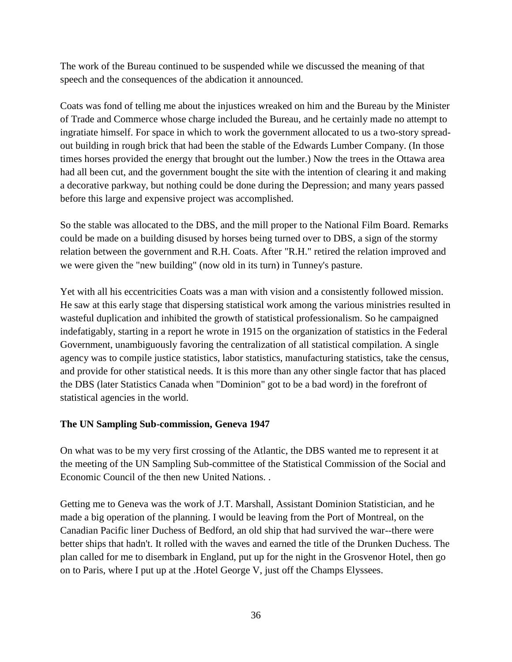The work of the Bureau continued to be suspended while we discussed the meaning of that speech and the consequences of the abdication it announced.

Coats was fond of telling me about the injustices wreaked on him and the Bureau by the Minister of Trade and Commerce whose charge included the Bureau, and he certainly made no attempt to ingratiate himself. For space in which to work the government allocated to us a two-story spreadout building in rough brick that had been the stable of the Edwards Lumber Company. (In those times horses provided the energy that brought out the lumber.) Now the trees in the Ottawa area had all been cut, and the government bought the site with the intention of clearing it and making a decorative parkway, but nothing could be done during the Depression; and many years passed before this large and expensive project was accomplished.

So the stable was allocated to the DBS, and the mill proper to the National Film Board. Remarks could be made on a building disused by horses being turned over to DBS, a sign of the stormy relation between the government and R.H. Coats. After "R.H." retired the relation improved and we were given the "new building" (now old in its turn) in Tunney's pasture.

Yet with all his eccentricities Coats was a man with vision and a consistently followed mission. He saw at this early stage that dispersing statistical work among the various ministries resulted in wasteful duplication and inhibited the growth of statistical professionalism. So he campaigned indefatigably, starting in a report he wrote in 1915 on the organization of statistics in the Federal Government, unambiguously favoring the centralization of all statistical compilation. A single agency was to compile justice statistics, labor statistics, manufacturing statistics, take the census, and provide for other statistical needs. It is this more than any other single factor that has placed the DBS (later Statistics Canada when "Dominion" got to be a bad word) in the forefront of statistical agencies in the world.

#### **The UN Sampling Sub-commission, Geneva 1947**

On what was to be my very first crossing of the Atlantic, the DBS wanted me to represent it at the meeting of the UN Sampling Sub-committee of the Statistical Commission of the Social and Economic Council of the then new United Nations. .

Getting me to Geneva was the work of J.T. Marshall, Assistant Dominion Statistician, and he made a big operation of the planning. I would be leaving from the Port of Montreal, on the Canadian Pacific liner Duchess of Bedford, an old ship that had survived the war--there were better ships that hadn't. It rolled with the waves and earned the title of the Drunken Duchess. The plan called for me to disembark in England, put up for the night in the Grosvenor Hotel, then go on to Paris, where I put up at the .Hotel George V, just off the Champs Elyssees.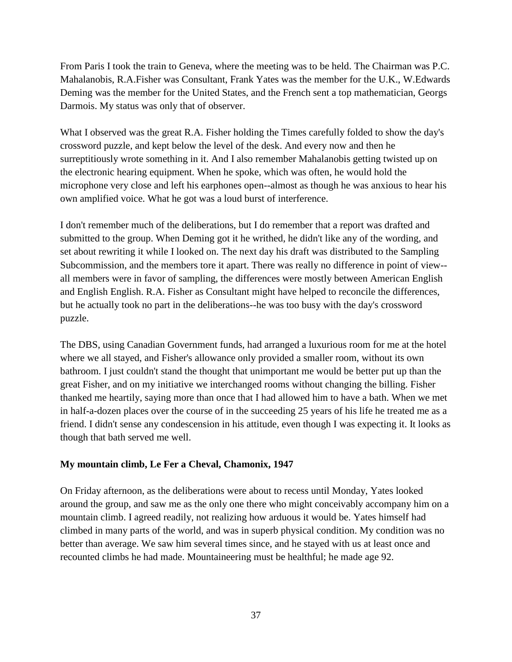From Paris I took the train to Geneva, where the meeting was to be held. The Chairman was P.C. Mahalanobis, R.A.Fisher was Consultant, Frank Yates was the member for the U.K., W.Edwards Deming was the member for the United States, and the French sent a top mathematician, Georgs Darmois. My status was only that of observer.

What I observed was the great R.A. Fisher holding the Times carefully folded to show the day's crossword puzzle, and kept below the level of the desk. And every now and then he surreptitiously wrote something in it. And I also remember Mahalanobis getting twisted up on the electronic hearing equipment. When he spoke, which was often, he would hold the microphone very close and left his earphones open--almost as though he was anxious to hear his own amplified voice. What he got was a loud burst of interference.

I don't remember much of the deliberations, but I do remember that a report was drafted and submitted to the group. When Deming got it he writhed, he didn't like any of the wording, and set about rewriting it while I looked on. The next day his draft was distributed to the Sampling Subcommission, and the members tore it apart. There was really no difference in point of view- all members were in favor of sampling, the differences were mostly between American English and English English. R.A. Fisher as Consultant might have helped to reconcile the differences, but he actually took no part in the deliberations--he was too busy with the day's crossword puzzle.

The DBS, using Canadian Government funds, had arranged a luxurious room for me at the hotel where we all stayed, and Fisher's allowance only provided a smaller room, without its own bathroom. I just couldn't stand the thought that unimportant me would be better put up than the great Fisher, and on my initiative we interchanged rooms without changing the billing. Fisher thanked me heartily, saying more than once that I had allowed him to have a bath. When we met in half-a-dozen places over the course of in the succeeding 25 years of his life he treated me as a friend. I didn't sense any condescension in his attitude, even though I was expecting it. It looks as though that bath served me well.

#### **My mountain climb, Le Fer a Cheval, Chamonix, 1947**

On Friday afternoon, as the deliberations were about to recess until Monday, Yates looked around the group, and saw me as the only one there who might conceivably accompany him on a mountain climb. I agreed readily, not realizing how arduous it would be. Yates himself had climbed in many parts of the world, and was in superb physical condition. My condition was no better than average. We saw him several times since, and he stayed with us at least once and recounted climbs he had made. Mountaineering must be healthful; he made age 92.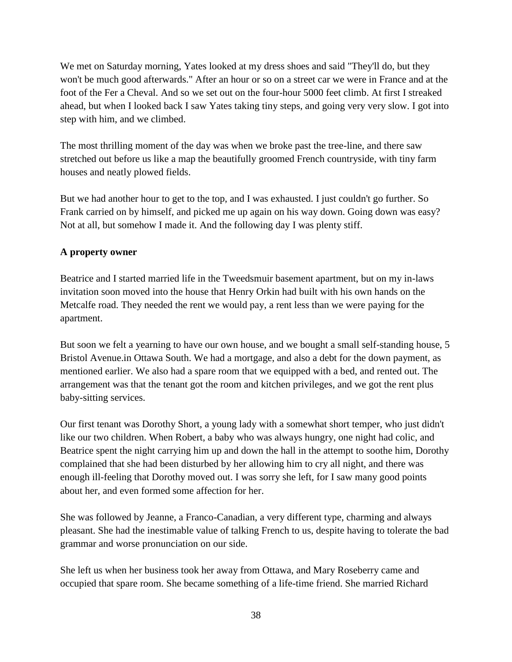We met on Saturday morning, Yates looked at my dress shoes and said "They'll do, but they won't be much good afterwards." After an hour or so on a street car we were in France and at the foot of the Fer a Cheval. And so we set out on the four-hour 5000 feet climb. At first I streaked ahead, but when I looked back I saw Yates taking tiny steps, and going very very slow. I got into step with him, and we climbed.

The most thrilling moment of the day was when we broke past the tree-line, and there saw stretched out before us like a map the beautifully groomed French countryside, with tiny farm houses and neatly plowed fields.

But we had another hour to get to the top, and I was exhausted. I just couldn't go further. So Frank carried on by himself, and picked me up again on his way down. Going down was easy? Not at all, but somehow I made it. And the following day I was plenty stiff.

## **A property owner**

Beatrice and I started married life in the Tweedsmuir basement apartment, but on my in-laws invitation soon moved into the house that Henry Orkin had built with his own hands on the Metcalfe road. They needed the rent we would pay, a rent less than we were paying for the apartment.

But soon we felt a yearning to have our own house, and we bought a small self-standing house, 5 Bristol Avenue.in Ottawa South. We had a mortgage, and also a debt for the down payment, as mentioned earlier. We also had a spare room that we equipped with a bed, and rented out. The arrangement was that the tenant got the room and kitchen privileges, and we got the rent plus baby-sitting services.

Our first tenant was Dorothy Short, a young lady with a somewhat short temper, who just didn't like our two children. When Robert, a baby who was always hungry, one night had colic, and Beatrice spent the night carrying him up and down the hall in the attempt to soothe him, Dorothy complained that she had been disturbed by her allowing him to cry all night, and there was enough ill-feeling that Dorothy moved out. I was sorry she left, for I saw many good points about her, and even formed some affection for her.

She was followed by Jeanne, a Franco-Canadian, a very different type, charming and always pleasant. She had the inestimable value of talking French to us, despite having to tolerate the bad grammar and worse pronunciation on our side.

She left us when her business took her away from Ottawa, and Mary Roseberry came and occupied that spare room. She became something of a life-time friend. She married Richard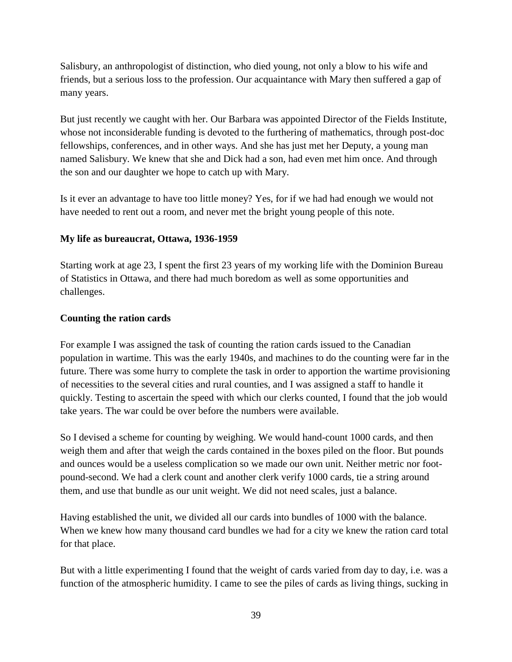Salisbury, an anthropologist of distinction, who died young, not only a blow to his wife and friends, but a serious loss to the profession. Our acquaintance with Mary then suffered a gap of many years.

But just recently we caught with her. Our Barbara was appointed Director of the Fields Institute, whose not inconsiderable funding is devoted to the furthering of mathematics, through post-doc fellowships, conferences, and in other ways. And she has just met her Deputy, a young man named Salisbury. We knew that she and Dick had a son, had even met him once. And through the son and our daughter we hope to catch up with Mary.

Is it ever an advantage to have too little money? Yes, for if we had had enough we would not have needed to rent out a room, and never met the bright young people of this note.

## **My life as bureaucrat, Ottawa, 1936-1959**

Starting work at age 23, I spent the first 23 years of my working life with the Dominion Bureau of Statistics in Ottawa, and there had much boredom as well as some opportunities and challenges.

## **Counting the ration cards**

For example I was assigned the task of counting the ration cards issued to the Canadian population in wartime. This was the early 1940s, and machines to do the counting were far in the future. There was some hurry to complete the task in order to apportion the wartime provisioning of necessities to the several cities and rural counties, and I was assigned a staff to handle it quickly. Testing to ascertain the speed with which our clerks counted, I found that the job would take years. The war could be over before the numbers were available.

So I devised a scheme for counting by weighing. We would hand-count 1000 cards, and then weigh them and after that weigh the cards contained in the boxes piled on the floor. But pounds and ounces would be a useless complication so we made our own unit. Neither metric nor footpound-second. We had a clerk count and another clerk verify 1000 cards, tie a string around them, and use that bundle as our unit weight. We did not need scales, just a balance.

Having established the unit, we divided all our cards into bundles of 1000 with the balance. When we knew how many thousand card bundles we had for a city we knew the ration card total for that place.

But with a little experimenting I found that the weight of cards varied from day to day, i.e. was a function of the atmospheric humidity. I came to see the piles of cards as living things, sucking in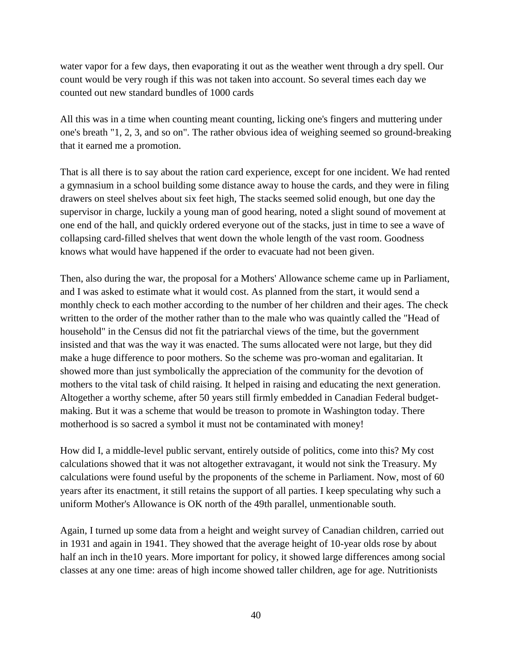water vapor for a few days, then evaporating it out as the weather went through a dry spell. Our count would be very rough if this was not taken into account. So several times each day we counted out new standard bundles of 1000 cards

All this was in a time when counting meant counting, licking one's fingers and muttering under one's breath "1, 2, 3, and so on". The rather obvious idea of weighing seemed so ground-breaking that it earned me a promotion.

That is all there is to say about the ration card experience, except for one incident. We had rented a gymnasium in a school building some distance away to house the cards, and they were in filing drawers on steel shelves about six feet high, The stacks seemed solid enough, but one day the supervisor in charge, luckily a young man of good hearing, noted a slight sound of movement at one end of the hall, and quickly ordered everyone out of the stacks, just in time to see a wave of collapsing card-filled shelves that went down the whole length of the vast room. Goodness knows what would have happened if the order to evacuate had not been given.

Then, also during the war, the proposal for a Mothers' Allowance scheme came up in Parliament, and I was asked to estimate what it would cost. As planned from the start, it would send a monthly check to each mother according to the number of her children and their ages. The check written to the order of the mother rather than to the male who was quaintly called the "Head of household" in the Census did not fit the patriarchal views of the time, but the government insisted and that was the way it was enacted. The sums allocated were not large, but they did make a huge difference to poor mothers. So the scheme was pro-woman and egalitarian. It showed more than just symbolically the appreciation of the community for the devotion of mothers to the vital task of child raising. It helped in raising and educating the next generation. Altogether a worthy scheme, after 50 years still firmly embedded in Canadian Federal budgetmaking. But it was a scheme that would be treason to promote in Washington today. There motherhood is so sacred a symbol it must not be contaminated with money!

How did I, a middle-level public servant, entirely outside of politics, come into this? My cost calculations showed that it was not altogether extravagant, it would not sink the Treasury. My calculations were found useful by the proponents of the scheme in Parliament. Now, most of 60 years after its enactment, it still retains the support of all parties. I keep speculating why such a uniform Mother's Allowance is OK north of the 49th parallel, unmentionable south.

Again, I turned up some data from a height and weight survey of Canadian children, carried out in 1931 and again in 1941. They showed that the average height of 10-year olds rose by about half an inch in the 10 years. More important for policy, it showed large differences among social classes at any one time: areas of high income showed taller children, age for age. Nutritionists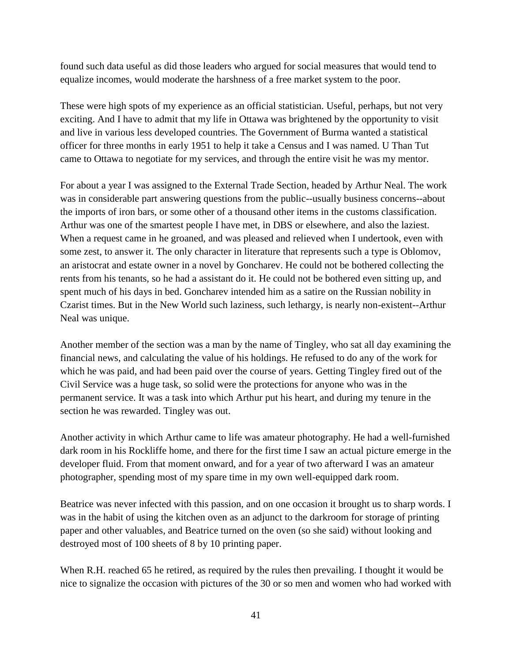found such data useful as did those leaders who argued for social measures that would tend to equalize incomes, would moderate the harshness of a free market system to the poor.

These were high spots of my experience as an official statistician. Useful, perhaps, but not very exciting. And I have to admit that my life in Ottawa was brightened by the opportunity to visit and live in various less developed countries. The Government of Burma wanted a statistical officer for three months in early 1951 to help it take a Census and I was named. U Than Tut came to Ottawa to negotiate for my services, and through the entire visit he was my mentor.

For about a year I was assigned to the External Trade Section, headed by Arthur Neal. The work was in considerable part answering questions from the public--usually business concerns--about the imports of iron bars, or some other of a thousand other items in the customs classification. Arthur was one of the smartest people I have met, in DBS or elsewhere, and also the laziest. When a request came in he groaned, and was pleased and relieved when I undertook, even with some zest, to answer it. The only character in literature that represents such a type is Oblomov, an aristocrat and estate owner in a novel by Goncharev. He could not be bothered collecting the rents from his tenants, so he had a assistant do it. He could not be bothered even sitting up, and spent much of his days in bed. Goncharev intended him as a satire on the Russian nobility in Czarist times. But in the New World such laziness, such lethargy, is nearly non-existent--Arthur Neal was unique.

Another member of the section was a man by the name of Tingley, who sat all day examining the financial news, and calculating the value of his holdings. He refused to do any of the work for which he was paid, and had been paid over the course of years. Getting Tingley fired out of the Civil Service was a huge task, so solid were the protections for anyone who was in the permanent service. It was a task into which Arthur put his heart, and during my tenure in the section he was rewarded. Tingley was out.

Another activity in which Arthur came to life was amateur photography. He had a well-furnished dark room in his Rockliffe home, and there for the first time I saw an actual picture emerge in the developer fluid. From that moment onward, and for a year of two afterward I was an amateur photographer, spending most of my spare time in my own well-equipped dark room.

Beatrice was never infected with this passion, and on one occasion it brought us to sharp words. I was in the habit of using the kitchen oven as an adjunct to the darkroom for storage of printing paper and other valuables, and Beatrice turned on the oven (so she said) without looking and destroyed most of 100 sheets of 8 by 10 printing paper.

When R.H. reached 65 he retired, as required by the rules then prevailing. I thought it would be nice to signalize the occasion with pictures of the 30 or so men and women who had worked with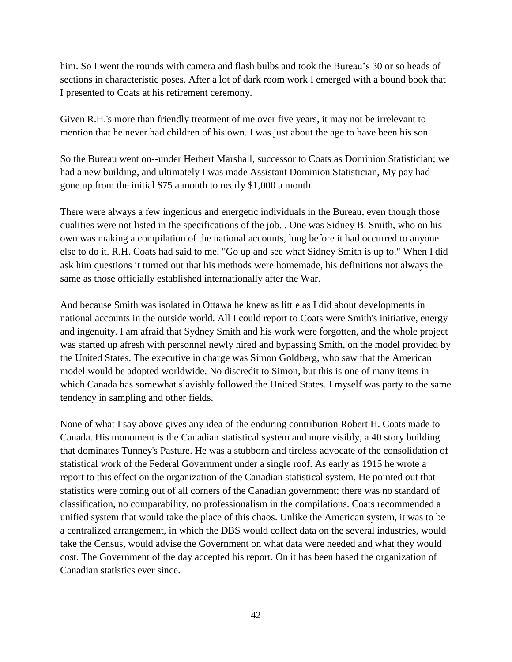him. So I went the rounds with camera and flash bulbs and took the Bureau's 30 or so heads of sections in characteristic poses. After a lot of dark room work I emerged with a bound book that I presented to Coats at his retirement ceremony.

Given R.H.'s more than friendly treatment of me over five years, it may not be irrelevant to mention that he never had children of his own. I was just about the age to have been his son.

So the Bureau went on--under Herbert Marshall, successor to Coats as Dominion Statistician; we had a new building, and ultimately I was made Assistant Dominion Statistician, My pay had gone up from the initial \$75 a month to nearly \$1,000 a month.

There were always a few ingenious and energetic individuals in the Bureau, even though those qualities were not listed in the specifications of the job. . One was Sidney B. Smith, who on his own was making a compilation of the national accounts, long before it had occurred to anyone else to do it. R.H. Coats had said to me, "Go up and see what Sidney Smith is up to." When I did ask him questions it turned out that his methods were homemade, his definitions not always the same as those officially established internationally after the War.

And because Smith was isolated in Ottawa he knew as little as I did about developments in national accounts in the outside world. All I could report to Coats were Smith's initiative, energy and ingenuity. I am afraid that Sydney Smith and his work were forgotten, and the whole project was started up afresh with personnel newly hired and bypassing Smith, on the model provided by the United States. The executive in charge was Simon Goldberg, who saw that the American model would be adopted worldwide. No discredit to Simon, but this is one of many items in which Canada has somewhat slavishly followed the United States. I myself was party to the same tendency in sampling and other fields.

None of what I say above gives any idea of the enduring contribution Robert H. Coats made to Canada. His monument is the Canadian statistical system and more visibly, a 40 story building that dominates Tunney's Pasture. He was a stubborn and tireless advocate of the consolidation of statistical work of the Federal Government under a single roof. As early as 1915 he wrote a report to this effect on the organization of the Canadian statistical system. He pointed out that statistics were coming out of all corners of the Canadian government; there was no standard of classification, no comparability, no professionalism in the compilations. Coats recommended a unified system that would take the place of this chaos. Unlike the American system, it was to be a centralized arrangement, in which the DBS would collect data on the several industries, would take the Census, would advise the Government on what data were needed and what they would cost. The Government of the day accepted his report. On it has been based the organization of Canadian statistics ever since.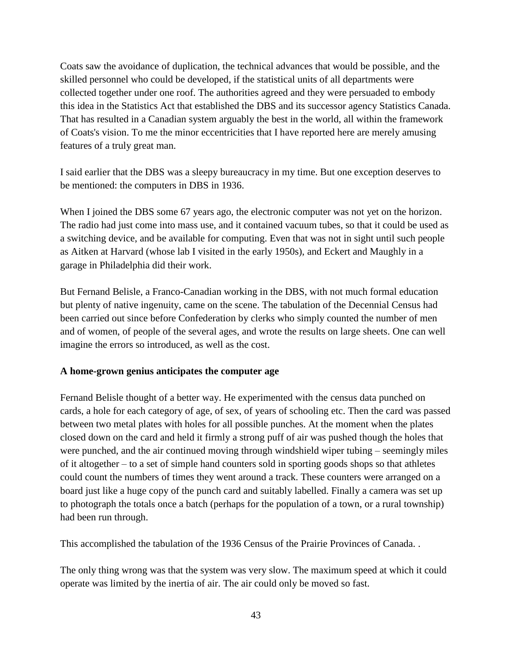Coats saw the avoidance of duplication, the technical advances that would be possible, and the skilled personnel who could be developed, if the statistical units of all departments were collected together under one roof. The authorities agreed and they were persuaded to embody this idea in the Statistics Act that established the DBS and its successor agency Statistics Canada. That has resulted in a Canadian system arguably the best in the world, all within the framework of Coats's vision. To me the minor eccentricities that I have reported here are merely amusing features of a truly great man.

I said earlier that the DBS was a sleepy bureaucracy in my time. But one exception deserves to be mentioned: the computers in DBS in 1936.

When I joined the DBS some 67 years ago, the electronic computer was not yet on the horizon. The radio had just come into mass use, and it contained vacuum tubes, so that it could be used as a switching device, and be available for computing. Even that was not in sight until such people as Aitken at Harvard (whose lab I visited in the early 1950s), and Eckert and Maughly in a garage in Philadelphia did their work.

But Fernand Belisle, a Franco-Canadian working in the DBS, with not much formal education but plenty of native ingenuity, came on the scene. The tabulation of the Decennial Census had been carried out since before Confederation by clerks who simply counted the number of men and of women, of people of the several ages, and wrote the results on large sheets. One can well imagine the errors so introduced, as well as the cost.

#### **A home-grown genius anticipates the computer age**

Fernand Belisle thought of a better way. He experimented with the census data punched on cards, a hole for each category of age, of sex, of years of schooling etc. Then the card was passed between two metal plates with holes for all possible punches. At the moment when the plates closed down on the card and held it firmly a strong puff of air was pushed though the holes that were punched, and the air continued moving through windshield wiper tubing – seemingly miles of it altogether – to a set of simple hand counters sold in sporting goods shops so that athletes could count the numbers of times they went around a track. These counters were arranged on a board just like a huge copy of the punch card and suitably labelled. Finally a camera was set up to photograph the totals once a batch (perhaps for the population of a town, or a rural township) had been run through.

This accomplished the tabulation of the 1936 Census of the Prairie Provinces of Canada. .

The only thing wrong was that the system was very slow. The maximum speed at which it could operate was limited by the inertia of air. The air could only be moved so fast.